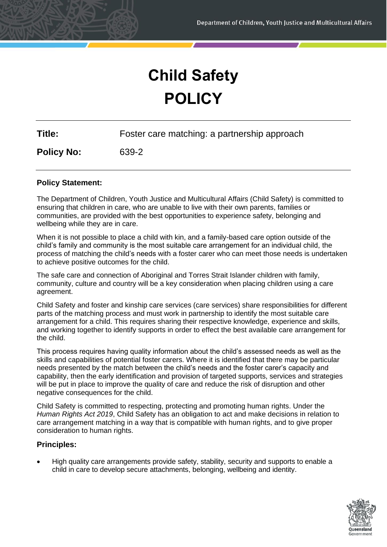# **Child Safety POLICY**

**Title:** Foster care matching: a partnership approach

**Policy No:** 639-2

# **Policy Statement:**

The Department of Children, Youth Justice and Multicultural Affairs (Child Safety) is committed to ensuring that children in care, who are unable to live with their own parents, families or communities, are provided with the best opportunities to experience safety, belonging and wellbeing while they are in care.

When it is not possible to place a child with kin, and a family-based care option outside of the child's family and community is the most suitable care arrangement for an individual child, the process of matching the child's needs with a foster carer who can meet those needs is undertaken to achieve positive outcomes for the child.

The safe care and connection of Aboriginal and Torres Strait Islander children with family, community, culture and country will be a key consideration when placing children using a care agreement.

Child Safety and foster and kinship care services (care services) share responsibilities for different parts of the matching process and must work in partnership to identify the most suitable care arrangement for a child. This requires sharing their respective knowledge, experience and skills, and working together to identify supports in order to effect the best available care arrangement for the child.

This process requires having quality information about the child's assessed needs as well as the skills and capabilities of potential foster carers. Where it is identified that there may be particular needs presented by the match between the child's needs and the foster carer's capacity and capability, then the early identification and provision of targeted supports, services and strategies will be put in place to improve the quality of care and reduce the risk of disruption and other negative consequences for the child.

Child Safety is committed to respecting, protecting and promoting human rights. Under the *Human Rights Act 2019*, Child Safety has an obligation to act and make decisions in relation to care arrangement matching in a way that is compatible with human rights, and to give proper consideration to human rights.

# **Principles:**

• High quality care arrangements provide safety, stability, security and supports to enable a child in care to develop secure attachments, belonging, wellbeing and identity.

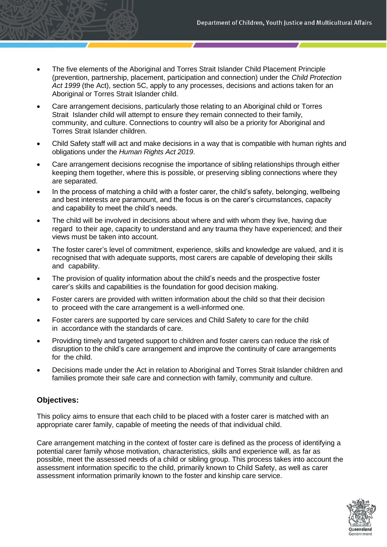- The five elements of the Aboriginal and Torres Strait Islander Child Placement Principle (prevention, partnership, placement, participation and connection) under the *Child Protection Act 1999* (the Act), section 5C, apply to any processes, decisions and actions taken for an Aboriginal or Torres Strait Islander child.
- Care arrangement decisions, particularly those relating to an Aboriginal child or Torres Strait Islander child will attempt to ensure they remain connected to their family, community, and culture. Connections to country will also be a priority for Aboriginal and Torres Strait Islander children.
- Child Safety staff will act and make decisions in a way that is compatible with human rights and obligations under the *Human Rights Act 2019*.
- Care arrangement decisions recognise the importance of sibling relationships through either keeping them together, where this is possible, or preserving sibling connections where they are separated.
- In the process of matching a child with a foster carer, the child's safety, belonging, wellbeing and best interests are paramount, and the focus is on the carer's circumstances, capacity and capability to meet the child's needs.
- The child will be involved in decisions about where and with whom they live, having due regard to their age, capacity to understand and any trauma they have experienced; and their views must be taken into account.
- The foster carer's level of commitment, experience, skills and knowledge are valued, and it is recognised that with adequate supports, most carers are capable of developing their skills and capability.
- The provision of quality information about the child's needs and the prospective foster carer's skills and capabilities is the foundation for good decision making.
- Foster carers are provided with written information about the child so that their decision to proceed with the care arrangement is a well-informed one.
- Foster carers are supported by care services and Child Safety to care for the child in accordance with the standards of care.
- Providing timely and targeted support to children and foster carers can reduce the risk of disruption to the child's care arrangement and improve the continuity of care arrangements for the child.
- Decisions made under the Act in relation to Aboriginal and Torres Strait Islander children and families promote their safe care and connection with family, community and culture.

# **Objectives:**

This policy aims to ensure that each child to be placed with a foster carer is matched with an appropriate carer family, capable of meeting the needs of that individual child.

Care arrangement matching in the context of foster care is defined as the process of identifying a potential carer family whose motivation, characteristics, skills and experience will, as far as possible, meet the assessed needs of a child or sibling group. This process takes into account the assessment information specific to the child, primarily known to Child Safety, as well as carer assessment information primarily known to the foster and kinship care service.

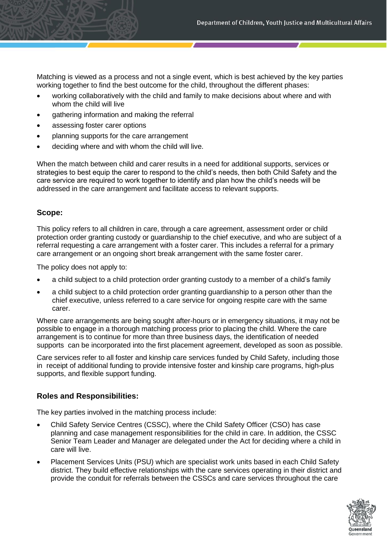Matching is viewed as a process and not a single event, which is best achieved by the key parties working together to find the best outcome for the child, throughout the different phases:

- working collaboratively with the child and family to make decisions about where and with whom the child will live
- gathering information and making the referral
- assessing foster carer options
- planning supports for the care arrangement
- deciding where and with whom the child will live.

When the match between child and carer results in a need for additional supports, services or strategies to best equip the carer to respond to the child's needs, then both Child Safety and the care service are required to work together to identify and plan how the child's needs will be addressed in the care arrangement and facilitate access to relevant supports.

#### **Scope:**

This policy refers to all children in care, through a care agreement, assessment order or child protection order granting custody or guardianship to the chief executive, and who are subject of a referral requesting a care arrangement with a foster carer. This includes a referral for a primary care arrangement or an ongoing short break arrangement with the same foster carer.

The policy does not apply to:

- a child subject to a child protection order granting custody to a member of a child's family
- a child subject to a child protection order granting guardianship to a person other than the chief executive, unless referred to a care service for ongoing respite care with the same carer.

Where care arrangements are being sought after-hours or in emergency situations, it may not be possible to engage in a thorough matching process prior to placing the child. Where the care arrangement is to continue for more than three business days, the identification of needed supports can be incorporated into the first placement agreement, developed as soon as possible.

Care services refer to all foster and kinship care services funded by Child Safety, including those in receipt of additional funding to provide intensive foster and kinship care programs, high-plus supports, and flexible support funding.

## **Roles and Responsibilities:**

The key parties involved in the matching process include:

- Child Safety Service Centres (CSSC), where the Child Safety Officer (CSO) has case planning and case management responsibilities for the child in care. In addition, the CSSC Senior Team Leader and Manager are delegated under the Act for deciding where a child in care will live.
- Placement Services Units (PSU) which are specialist work units based in each Child Safety district. They build effective relationships with the care services operating in their district and provide the conduit for referrals between the CSSCs and care services throughout the care

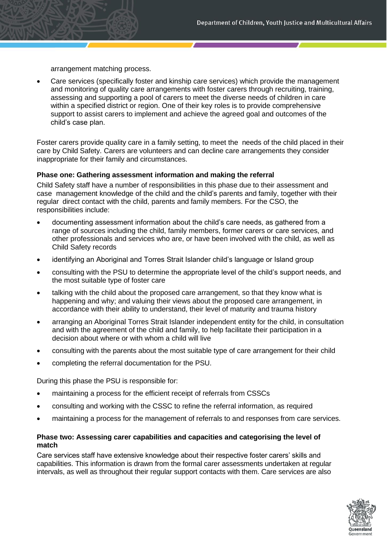arrangement matching process.

• Care services (specifically foster and kinship care services) which provide the management and monitoring of quality care arrangements with foster carers through recruiting, training, assessing and supporting a pool of carers to meet the diverse needs of children in care within a specified district or region. One of their key roles is to provide comprehensive support to assist carers to implement and achieve the agreed goal and outcomes of the child's case plan.

Foster carers provide quality care in a family setting, to meet the needs of the child placed in their care by Child Safety. Carers are volunteers and can decline care arrangements they consider inappropriate for their family and circumstances.

#### **Phase one: Gathering assessment information and making the referral**

Child Safety staff have a number of responsibilities in this phase due to their assessment and case management knowledge of the child and the child's parents and family, together with their regular direct contact with the child, parents and family members. For the CSO, the responsibilities include:

- documenting assessment information about the child's care needs, as gathered from a range of sources including the child, family members, former carers or care services, and other professionals and services who are, or have been involved with the child, as well as Child Safety records
- identifying an Aboriginal and Torres Strait Islander child's language or Island group
- consulting with the PSU to determine the appropriate level of the child's support needs, and the most suitable type of foster care
- talking with the child about the proposed care arrangement, so that they know what is happening and why; and valuing their views about the proposed care arrangement, in accordance with their ability to understand, their level of maturity and trauma history
- arranging an Aboriginal Torres Strait Islander independent entity for the child, in consultation and with the agreement of the child and family, to help facilitate their participation in a decision about where or with whom a child will live
- consulting with the parents about the most suitable type of care arrangement for their child
- completing the referral documentation for the PSU.

During this phase the PSU is responsible for:

- maintaining a process for the efficient receipt of referrals from CSSCs
- consulting and working with the CSSC to refine the referral information, as required
- maintaining a process for the management of referrals to and responses from care services.

## **Phase two: Assessing carer capabilities and capacities and categorising the level of match**

Care services staff have extensive knowledge about their respective foster carers' skills and capabilities. This information is drawn from the formal carer assessments undertaken at regular intervals, as well as throughout their regular support contacts with them. Care services are also

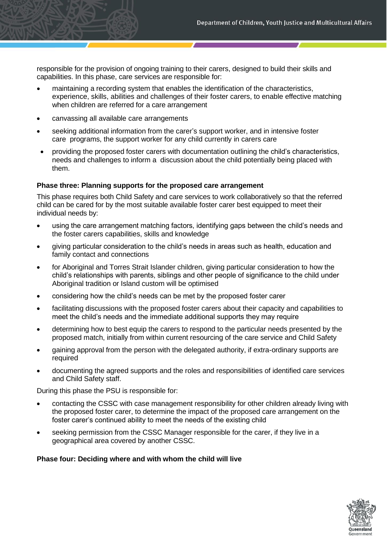responsible for the provision of ongoing training to their carers, designed to build their skills and capabilities. In this phase, care services are responsible for:

- maintaining a recording system that enables the identification of the characteristics, experience, skills, abilities and challenges of their foster carers, to enable effective matching when children are referred for a care arrangement
- canvassing all available care arrangements
- seeking additional information from the carer's support worker, and in intensive foster care programs, the support worker for any child currently in carers care
- providing the proposed foster carers with documentation outlining the child's characteristics, needs and challenges to inform a discussion about the child potentially being placed with them.

#### **Phase three: Planning supports for the proposed care arrangement**

This phase requires both Child Safety and care services to work collaboratively so that the referred child can be cared for by the most suitable available foster carer best equipped to meet their individual needs by:

- using the care arrangement matching factors, identifying gaps between the child's needs and the foster carers capabilities, skills and knowledge
- giving particular consideration to the child's needs in areas such as health, education and family contact and connections
- for Aboriginal and Torres Strait Islander children, giving particular consideration to how the child's relationships with parents, siblings and other people of significance to the child under Aboriginal tradition or Island custom will be optimised
- considering how the child's needs can be met by the proposed foster carer
- facilitating discussions with the proposed foster carers about their capacity and capabilities to meet the child's needs and the immediate additional supports they may require
- determining how to best equip the carers to respond to the particular needs presented by the proposed match, initially from within current resourcing of the care service and Child Safety
- gaining approval from the person with the delegated authority, if extra-ordinary supports are required
- documenting the agreed supports and the roles and responsibilities of identified care services and Child Safety staff.

During this phase the PSU is responsible for:

- contacting the CSSC with case management responsibility for other children already living with the proposed foster carer, to determine the impact of the proposed care arrangement on the foster carer's continued ability to meet the needs of the existing child
- seeking permission from the CSSC Manager responsible for the carer, if they live in a geographical area covered by another CSSC.

## **Phase four: Deciding where and with whom the child will live**

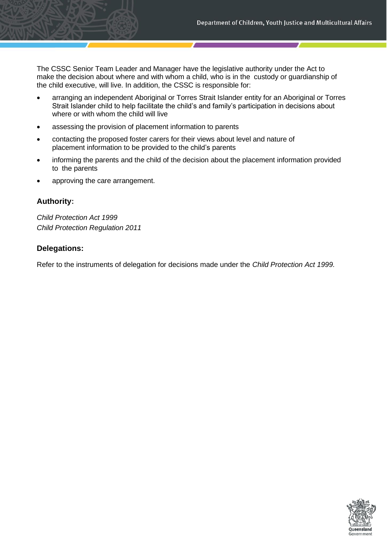The CSSC Senior Team Leader and Manager have the legislative authority under the Act to make the decision about where and with whom a child, who is in the custody or guardianship of the child executive, will live. In addition, the CSSC is responsible for:

- arranging an independent Aboriginal or Torres Strait Islander entity for an Aboriginal or Torres Strait Islander child to help facilitate the child's and family's participation in decisions about where or with whom the child will live
- assessing the provision of placement information to parents
- contacting the proposed foster carers for their views about level and nature of placement information to be provided to the child's parents
- informing the parents and the child of the decision about the placement information provided to the parents
- approving the care arrangement.

## **Authority:**

*Child Protection Act 1999 Child Protection Regulation 2011*

## **Delegations:**

Refer to the instruments of delegation for decisions made under the *Child Protection Act 1999.*